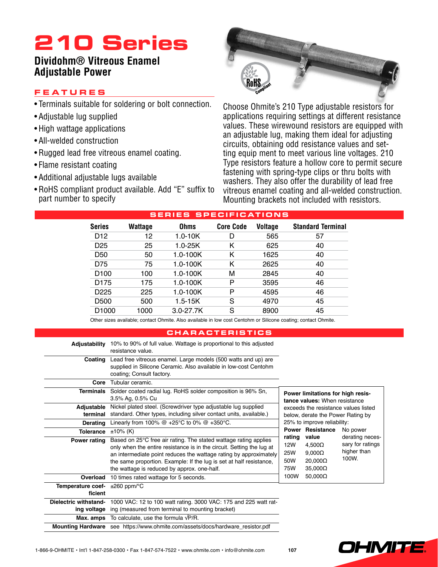## **210 Series**

### **Dividohm® Vitreous Enamel Adjustable Power**

### **Feature s**

- Terminals suitable for soldering or bolt connection.
- Adjustable lug supplied
- High wattage applications
- All-welded construction
- Rugged lead free vitreous enamel coating.
- Flame resistant coating
- • Additional adjustable lugs available
- RoHS compliant product available. Add "E" suffix to part number to specify



Choose Ohmite's 210 Type adjustable resistors for applications requiring settings at different resistance values. These wirewound resistors are equipped with an adjustable lug, making them ideal for adjusting circuits, obtaining odd resistance values and setting equip ment to meet various line voltages. 210 Type resistors feature a hollow core to permit secure fastening with spring-type clips or thru bolts with washers. They also offer the durability of lead free vitreous enamel coating and all-welded construction. Mounting brackets not included with resistors.

| <b>SERIES SPECIFICATIONS</b> |         |               |                  |         |                          |  |  |  |  |  |  |  |  |
|------------------------------|---------|---------------|------------------|---------|--------------------------|--|--|--|--|--|--|--|--|
| Series                       | Wattage | <b>Ohms</b>   | <b>Core Code</b> | Voltage | <b>Standard Terminal</b> |  |  |  |  |  |  |  |  |
| D <sub>12</sub>              | 12      | $1.0 - 10K$   | D                | 565     | 57                       |  |  |  |  |  |  |  |  |
| D <sub>25</sub>              | 25      | $1.0 - 25K$   | Κ                | 625     | 40                       |  |  |  |  |  |  |  |  |
| D <sub>50</sub>              | 50      | $1.0 - 100K$  | κ                | 1625    | 40                       |  |  |  |  |  |  |  |  |
| D75                          | 75      | $1.0 - 100K$  | Κ                | 2625    | 40                       |  |  |  |  |  |  |  |  |
| D <sub>100</sub>             | 100     | $1.0 - 100K$  | м                | 2845    | 40                       |  |  |  |  |  |  |  |  |
| D <sub>175</sub>             | 175     | $1.0 - 100K$  | P                | 3595    | 46                       |  |  |  |  |  |  |  |  |
| D <sub>225</sub>             | 225     | $1.0 - 100K$  | Р                | 4595    | 46                       |  |  |  |  |  |  |  |  |
| D <sub>500</sub>             | 500     | $1.5 - 15K$   | S                | 4970    | 45                       |  |  |  |  |  |  |  |  |
| D <sub>1000</sub>            | 1000    | $3.0 - 27.7K$ | S                | 8900    | 45                       |  |  |  |  |  |  |  |  |

Other sizes available; contact Ohmite. Also available in low cost Centohm or Silicone coating; contact Ohmite.

#### **characteri s tic s**

| Adjustability                | 10% to 90% of full value. Wattage is proportional to this adjusted<br>resistance value.                                                                                                                                                                                                                                              |                                                                    |                                                                             |                                                             |  |  |  |  |  |  |  |  |  |
|------------------------------|--------------------------------------------------------------------------------------------------------------------------------------------------------------------------------------------------------------------------------------------------------------------------------------------------------------------------------------|--------------------------------------------------------------------|-----------------------------------------------------------------------------|-------------------------------------------------------------|--|--|--|--|--|--|--|--|--|
| Coating                      | Lead free vitreous enamel. Large models (500 watts and up) are<br>supplied in Silicone Ceramic. Also available in low-cost Centohm<br>coating; Consult factory.                                                                                                                                                                      |                                                                    |                                                                             |                                                             |  |  |  |  |  |  |  |  |  |
| Core                         | Tubular ceramic.                                                                                                                                                                                                                                                                                                                     |                                                                    |                                                                             |                                                             |  |  |  |  |  |  |  |  |  |
| <b>Terminals</b>             | Solder coated radial lug. RoHS solder composition is 96% Sn,<br>3.5% Ag, 0.5% Cu                                                                                                                                                                                                                                                     | Power limitations for high resis-<br>tance values: When resistance |                                                                             |                                                             |  |  |  |  |  |  |  |  |  |
| Adjustable                   | Nickel plated steel. (Screwdriver type adjustable lug supplied                                                                                                                                                                                                                                                                       | exceeds the resistance values listed                               |                                                                             |                                                             |  |  |  |  |  |  |  |  |  |
| terminal                     | standard. Other types, including silver contact units, available.)                                                                                                                                                                                                                                                                   | below, derate the Power Rating by                                  |                                                                             |                                                             |  |  |  |  |  |  |  |  |  |
| <b>Derating</b>              | Linearly from 100% $@ +25°C$ to 0% $@ +350°C$ .                                                                                                                                                                                                                                                                                      |                                                                    | 25% to improve reliability:                                                 |                                                             |  |  |  |  |  |  |  |  |  |
| Tolerance                    | $±10\%$ (K)                                                                                                                                                                                                                                                                                                                          |                                                                    | <b>Power Resistance</b>                                                     | No power                                                    |  |  |  |  |  |  |  |  |  |
| Power rating                 | Based on 25°C free air rating. The stated wattage rating applies<br>only when the entire resistance is in the circuit. Setting the lug at<br>an intermediate point reduces the wattage rating by approximately<br>the same proportion. Example: If the lug is set at half resistance,<br>the wattage is reduced by approx. one-half. | rating<br>12W<br><b>25W</b><br>50W<br>75W                          | value<br>$4.500\Omega$<br>$9,000\Omega$<br>$20,000\Omega$<br>$35,000\Omega$ | derating neces-<br>sary for ratings<br>higher than<br>100W. |  |  |  |  |  |  |  |  |  |
| Overload                     | 10 times rated wattage for 5 seconds.                                                                                                                                                                                                                                                                                                | 100W                                                               | $50,000\Omega$                                                              |                                                             |  |  |  |  |  |  |  |  |  |
| Temperature coef-<br>ficient | $\pm 260$ ppm/ $\degree$ C                                                                                                                                                                                                                                                                                                           |                                                                    |                                                                             |                                                             |  |  |  |  |  |  |  |  |  |
| Dielectric withstand-        | 1000 VAC: 12 to 100 watt rating. 3000 VAC: 175 and 225 watt rat-                                                                                                                                                                                                                                                                     |                                                                    |                                                                             |                                                             |  |  |  |  |  |  |  |  |  |
| ing voltage                  | ing (measured from terminal to mounting bracket)                                                                                                                                                                                                                                                                                     |                                                                    |                                                                             |                                                             |  |  |  |  |  |  |  |  |  |
| Max. amps                    | To calculate, use the formula $\sqrt{P/R}$ .                                                                                                                                                                                                                                                                                         |                                                                    |                                                                             |                                                             |  |  |  |  |  |  |  |  |  |
|                              | Mounting Hardware see https://www.ohmite.com/assets/docs/hardware_resistor.pdf                                                                                                                                                                                                                                                       |                                                                    |                                                                             |                                                             |  |  |  |  |  |  |  |  |  |